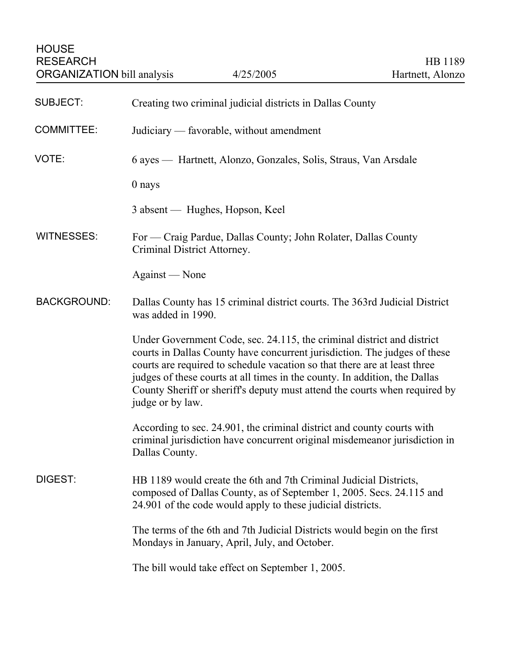| <b>SUBJECT:</b>    | Creating two criminal judicial districts in Dallas County                                                                                                                                                                                                                                                                                                                                                        |
|--------------------|------------------------------------------------------------------------------------------------------------------------------------------------------------------------------------------------------------------------------------------------------------------------------------------------------------------------------------------------------------------------------------------------------------------|
| <b>COMMITTEE:</b>  | Judiciary — favorable, without amendment                                                                                                                                                                                                                                                                                                                                                                         |
| VOTE:              | 6 ayes - Hartnett, Alonzo, Gonzales, Solis, Straus, Van Arsdale                                                                                                                                                                                                                                                                                                                                                  |
|                    | 0 nays                                                                                                                                                                                                                                                                                                                                                                                                           |
|                    | 3 absent — Hughes, Hopson, Keel                                                                                                                                                                                                                                                                                                                                                                                  |
| <b>WITNESSES:</b>  | For — Craig Pardue, Dallas County; John Rolater, Dallas County<br>Criminal District Attorney.                                                                                                                                                                                                                                                                                                                    |
|                    | Against — None                                                                                                                                                                                                                                                                                                                                                                                                   |
| <b>BACKGROUND:</b> | Dallas County has 15 criminal district courts. The 363rd Judicial District<br>was added in 1990.                                                                                                                                                                                                                                                                                                                 |
|                    | Under Government Code, sec. 24.115, the criminal district and district<br>courts in Dallas County have concurrent jurisdiction. The judges of these<br>courts are required to schedule vacation so that there are at least three<br>judges of these courts at all times in the county. In addition, the Dallas<br>County Sheriff or sheriff's deputy must attend the courts when required by<br>judge or by law. |
|                    | According to sec. 24.901, the criminal district and county courts with<br>criminal jurisdiction have concurrent original misdemeanor jurisdiction in<br>Dallas County.                                                                                                                                                                                                                                           |
| DIGEST:            | HB 1189 would create the 6th and 7th Criminal Judicial Districts,<br>composed of Dallas County, as of September 1, 2005. Secs. 24.115 and<br>24.901 of the code would apply to these judicial districts.                                                                                                                                                                                                         |
|                    | The terms of the 6th and 7th Judicial Districts would begin on the first<br>Mondays in January, April, July, and October.                                                                                                                                                                                                                                                                                        |
|                    | The bill would take effect on September 1, 2005.                                                                                                                                                                                                                                                                                                                                                                 |